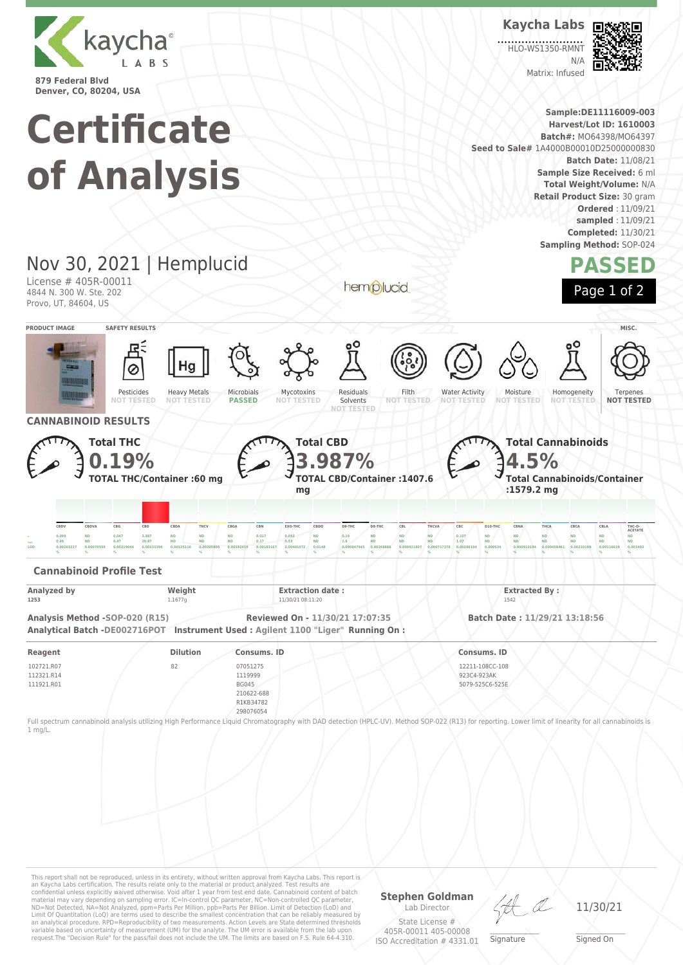

**Certificate of Analysis** **Kaycha Labs** HLO-WS1350-RMN

> $N/L$ Matrix: Infused



**Sample:DE11116009-003 Harvest/Lot ID: 1610003 Batch#:** MO64398/MO64397 **Seed to Sale#** 1A4000B00010D25000000830 **Batch Date:** 11/08/21 **Sample Size Received:** 6 ml **Total Weight/Volume:** N/A **Retail Product Size:** 30 gram **Ordered** : 11/09/21 **sampled** : 11/09/21 **Completed:** 11/30/21 **Sampling Method:** SOP-024

## **PASSED**

Nov 30, 2021 | Hemplucid License # 405R-00011 4844 N. 300 W. Ste. 202 Provo, UT, 84604, US

hemplucid



**PRODUCT IMAGE SAFETY RESULTS MISC.** Pesticides **NOT TESTED** Heavy Metals **NOT TESTED** Microbials **PASSED** Mycotoxins **NOT TESTED** Residuals Solvents **NOT TESTED** Filth<br>NOT TES **NOT TESTED** Water Activity **NOT TESTED** Moisture **NOT TESTED** Homogeneity **NOT** Terpenes **NOT TESTED CANNABINOID RESULTS Total THC 0.19% TOTAL THC/Container :60 mg Total CBD 3.987% TOTAL CBD/Container :1407.6 mg Total Cannabinoids 4.5% Total Cannabinoids/Container :1579.2 mg** CBDV CBDVA CBG CBD CBDA THCV CBGA CBN EXO-THC CBDQ D9-THC D8-THC CBL THCVA CBC D10-THC CBNA THCA CBCA CBLA THC-O **ACETATE**  $_{\rm h}$  0.099 ND 0.047 3.987 ND ND ND 0.017 0.053 ND 0.19 ND ND ND 0.107 ND ND ND ND ND ND ND ND <sub>====</sub> 0.99 ND 0.47 39.87 ND ND ND 0.17 0.53 ND 1.9 ND ND ND 1.07 ND ND ND ND ND ND ND ND  $\,$ 0.00265237 0.00070559 0.00219044 0.00333396 0.00125116 0.00205806 0.00192419 0.00183167 0.00401072 0.0148 0.000847945 0.000847945 0.000921807 0.0009717378 0.00266194 0.0005344 0.000910194 0.000458461 0.0021199 0.00146 **% % % % % % % % % % % % % % % % % % % % % Cannabinoid Profile Test Analyzed by Weight Weight Extraction date : Extraction date : Extracted By : Extracted By : Extracted By** : **1253** 1.1677g 1.1677g 11/30/21 08:11:20 1542 **Analysis Method -SOP-020 (R15) Reviewed On - 11/30/21 17:07:35 Batch Date : 11/29/21 13:18:56 Analytical Batch -DE002716POT Instrument Used : Agilent 1100 "Liger" Running On : Reagent Dilution Consums. ID Consums. ID** 102721.R07 112321.R14 111921.R01 82 07051275 1119999 BG045 210622-688 12211-108CC-108 923C4-923AK 5079-525C6-525E

R1KB34782 298076054

Full spectrum cannabinoid analysis utilizing High Performance Liquid Chromatography with DAD detection (HPLC-UV). Method SOP-022 (R13) for reporting. Lower limit of linearity for all cannabinoids is 1 mg/L.

This report shall not be reproduced, unless in its entirety, without written approval from Kaycha Labs. This report is<br>an Kaycha Labs certification. The results relate only to the material or product analyzed. Test results material may vary depending on sampling error. IC=In-control QC parameter, NC=Non-controlled QC parameter,<br>ND=Not Detected, NA=Not Analyzed, ppm=Parts Per Million, ppb=Parts Per Billion. Limit of Detection (LoD) and<br>Limit an analytical procedure. RPD=Reproducibility of two measurements. Action Levels are State determined thresholds variable based on uncertainty of measurement (UM) for the analyte. The UM error is available from the lab upon request.The "Decision Rule" for the pass/fail does not include the UM. The limits are based on F.S. Rule 64-4.310.

**Stephen Goldman** Lab Director

 $\_\_\_\_\_\_\_\_\_\_\_\_\_\_$ **Signature** 

11/30/21

State License # 405R-00011 405-00008 ISO Accreditation # 4331.01

Signed On